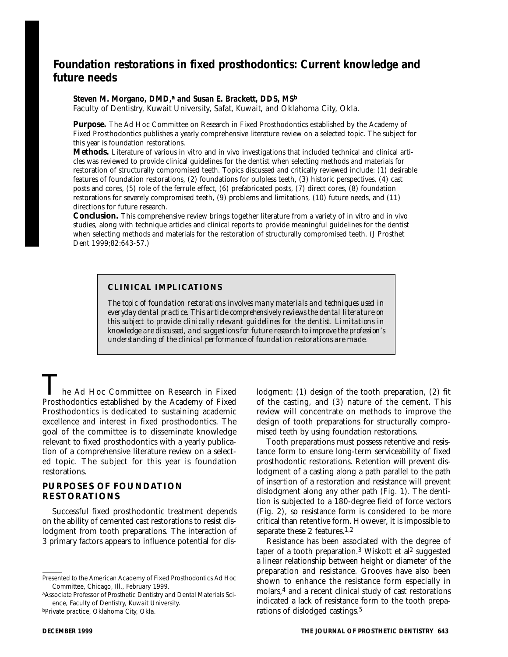# **Foundation restorations in fixed prosthodontics: Current knowledge and future needs**

#### Steven M. Morgano, DMD,<sup>a</sup> and Susan E. Brackett, DDS, MS<sup>b</sup>

Faculty of Dentistry, Kuwait University, Safat, Kuwait, and Oklahoma City, Okla.

**Purpose.** The Ad Hoc Committee on Research in Fixed Prosthodontics established by the Academy of Fixed Prosthodontics publishes a yearly comprehensive literature review on a selected topic. The subject for this year is foundation restorations.

**Methods.** Literature of various in vitro and in vivo investigations that included technical and clinical articles was reviewed to provide clinical guidelines for the dentist when selecting methods and materials for restoration of structurally compromised teeth. Topics discussed and critically reviewed include: (1) desirable features of foundation restorations, (2) foundations for pulpless teeth, (3) historic perspectives, (4) cast posts and cores, (5) role of the ferrule effect, (6) prefabricated posts, (7) direct cores, (8) foundation restorations for severely compromised teeth, (9) problems and limitations, (10) future needs, and (11) directions for future research.

**Conclusion.** This comprehensive review brings together literature from a variety of in vitro and in vivo studies, along with technique articles and clinical reports to provide meaningful guidelines for the dentist when selecting methods and materials for the restoration of structurally compromised teeth. (J Prosthet Dent 1999;82:643-57.)

### **CLINICAL IMPLICATIONS**

*The topic of foundation restorations involves many materials and techniques used in everyday dental practice. This article comprehensively reviews the dental literature on this subject to provide clinically relevant guidelines for the dentist. Limitations in knowledge are discussed, and suggestions for future research to improve the profession's understanding of the clinical performance of foundation restorations are made.*

he Ad Hoc Committee on Research in Fixed Prosthodontics established by the Academy of Fixed Prosthodontics is dedicated to sustaining academic excellence and interest in fixed prosthodontics. The goal of the committee is to disseminate knowledge relevant to fixed prosthodontics with a yearly publication of a comprehensive literature review on a selected topic. The subject for this year is foundation restorations.

#### **PURPOSES OF FOUNDATION RESTORATIONS**

Successful fixed prosthodontic treatment depends on the ability of cemented cast restorations to resist dislodgment from tooth preparations. The interaction of 3 primary factors appears to influence potential for dis-

aAssociate Professor of Prosthetic Dentistry and Dental Materials Science, Faculty of Dentistry, Kuwait University.

bPrivate practice, Oklahoma City, Okla.

lodgment: (1) design of the tooth preparation, (2) fit of the casting, and (3) nature of the cement. This review will concentrate on methods to improve the design of tooth preparations for structurally compromised teeth by using foundation restorations.

Tooth preparations must possess retentive and resistance form to ensure long-term serviceability of fixed prosthodontic restorations. Retention will prevent dislodgment of a casting along a path parallel to the path of insertion of a restoration and resistance will prevent dislodgment along any other path (Fig. 1). The dentition is subjected to a 180-degree field of force vectors (Fig. 2), so resistance form is considered to be more critical than retentive form. However, it is impossible to separate these 2 features.<sup>1,2</sup>

Resistance has been associated with the degree of taper of a tooth preparation.<sup>3</sup> Wiskott et al<sup>2</sup> suggested a linear relationship between height or diameter of the preparation and resistance. Grooves have also been shown to enhance the resistance form especially in molars,4 and a recent clinical study of cast restorations indicated a lack of resistance form to the tooth preparations of dislodged castings.5

Presented to the American Academy of Fixed Prosthodontics Ad Hoc Committee, Chicago, Ill., February 1999.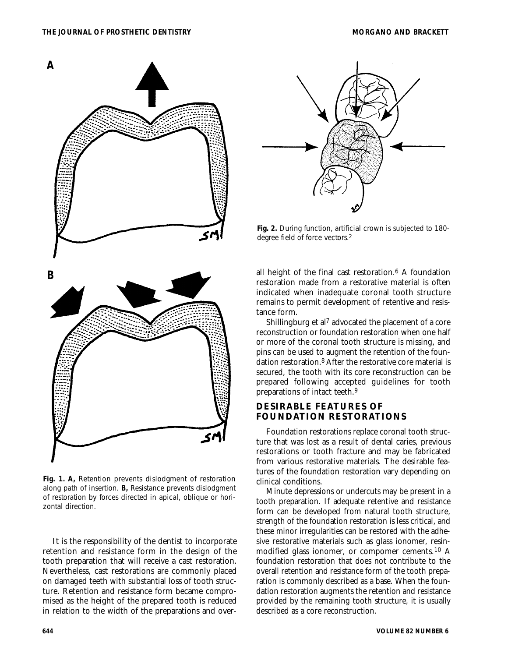

**Fig. 1. A,** Retention prevents dislodgment of restoration along path of insertion. **B,** Resistance prevents dislodgment of restoration by forces directed in apical, oblique or horizontal direction.

It is the responsibility of the dentist to incorporate retention and resistance form in the design of the tooth preparation that will receive a cast restoration. Nevertheless, cast restorations are commonly placed on damaged teeth with substantial loss of tooth structure. Retention and resistance form became compromised as the height of the prepared tooth is reduced in relation to the width of the preparations and over-



**Fig. 2.** During function, artificial crown is subjected to 180 degree field of force vectors.2

all height of the final cast restoration.6 A foundation restoration made from a restorative material is often indicated when inadequate coronal tooth structure remains to permit development of retentive and resistance form.

Shillingburg et al7 advocated the placement of a core reconstruction or foundation restoration when one half or more of the coronal tooth structure is missing, and pins can be used to augment the retention of the foundation restoration.8 After the restorative core material is secured, the tooth with its core reconstruction can be prepared following accepted guidelines for tooth preparations of intact teeth.9

## **DESIRABLE FEATURES OF FOUNDATION RESTORATIONS**

Foundation restorations replace coronal tooth structure that was lost as a result of dental caries, previous restorations or tooth fracture and may be fabricated from various restorative materials. The desirable features of the foundation restoration vary depending on clinical conditions.

Minute depressions or undercuts may be present in a tooth preparation. If adequate retentive and resistance form can be developed from natural tooth structure, strength of the foundation restoration is less critical, and these minor irregularities can be restored with the adhesive restorative materials such as glass ionomer, resinmodified glass ionomer, or compomer cements.10 A foundation restoration that does not contribute to the overall retention and resistance form of the tooth preparation is commonly described as a base. When the foundation restoration augments the retention and resistance provided by the remaining tooth structure, it is usually described as a core reconstruction.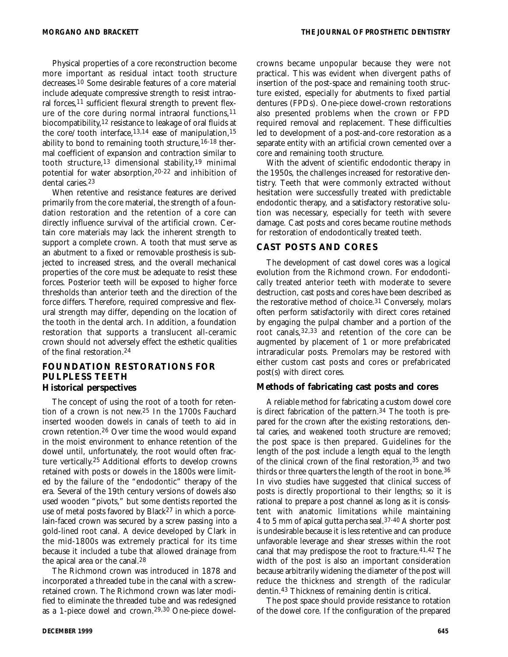Physical properties of a core reconstruction become more important as residual intact tooth structure decreases.10 Some desirable features of a core material include adequate compressive strength to resist intraoral forces,<sup>11</sup> sufficient flexural strength to prevent flexure of the core during normal intraoral functions,<sup>11</sup> biocompatibility,12 resistance to leakage of oral fluids at the core/tooth interface,13,14 ease of manipulation,15 ability to bond to remaining tooth structure,  $16-18$  thermal coefficient of expansion and contraction similar to tooth structure,13 dimensional stability,19 minimal potential for water absorption,20-22 and inhibition of dental caries.23

When retentive and resistance features are derived primarily from the core material, the strength of a foundation restoration and the retention of a core can directly influence survival of the artificial crown. Certain core materials may lack the inherent strength to support a complete crown. A tooth that must serve as an abutment to a fixed or removable prosthesis is subjected to increased stress, and the overall mechanical properties of the core must be adequate to resist these forces. Posterior teeth will be exposed to higher force thresholds than anterior teeth and the direction of the force differs. Therefore, required compressive and flexural strength may differ, depending on the location of the tooth in the dental arch. In addition, a foundation restoration that supports a translucent all-ceramic crown should not adversely effect the esthetic qualities of the final restoration.24

#### **FOUNDATION RESTORATIONS FOR PULPLESS TEETH Historical perspectives**

The concept of using the root of a tooth for retention of a crown is not new.25 In the 1700s Fauchard inserted wooden dowels in canals of teeth to aid in crown retention.26 Over time the wood would expand in the moist environment to enhance retention of the dowel until, unfortunately, the root would often fracture vertically.25 Additional efforts to develop crowns retained with posts or dowels in the 1800s were limited by the failure of the "endodontic" therapy of the era. Several of the 19th century versions of dowels also used wooden "pivots," but some dentists reported the use of metal posts favored by Black<sup>27</sup> in which a porcelain-faced crown was secured by a screw passing into a gold-lined root canal. A device developed by Clark in the mid-1800s was extremely practical for its time because it included a tube that allowed drainage from the apical area or the canal.28

The Richmond crown was introduced in 1878 and incorporated a threaded tube in the canal with a screwretained crown. The Richmond crown was later modified to eliminate the threaded tube and was redesigned as a 1-piece dowel and crown.29,30 One-piece dowelcrowns became unpopular because they were not practical. This was evident when divergent paths of insertion of the post-space and remaining tooth structure existed, especially for abutments to fixed partial dentures (FPDs). One-piece dowel-crown restorations also presented problems when the crown or FPD required removal and replacement. These difficulties led to development of a post-and-core restoration as a separate entity with an artificial crown cemented over a core and remaining tooth structure.

With the advent of scientific endodontic therapy in the 1950s, the challenges increased for restorative dentistry. Teeth that were commonly extracted without hesitation were successfully treated with predictable endodontic therapy, and a satisfactory restorative solution was necessary, especially for teeth with severe damage. Cast posts and cores became routine methods for restoration of endodontically treated teeth.

#### **CAST POSTS AND CORES**

The development of cast dowel cores was a logical evolution from the Richmond crown. For endodontically treated anterior teeth with moderate to severe destruction, cast posts and cores have been described as the restorative method of choice.31 Conversely, molars often perform satisfactorily with direct cores retained by engaging the pulpal chamber and a portion of the root canals,32,33 and retention of the core can be augmented by placement of 1 or more prefabricated intraradicular posts. Premolars may be restored with either custom cast posts and cores or prefabricated post(s) with direct cores.

#### **Methods of fabricating cast posts and cores**

A reliable method for fabricating a custom dowel core is direct fabrication of the pattern.34 The tooth is prepared for the crown after the existing restorations, dental caries, and weakened tooth structure are removed; the post space is then prepared. Guidelines for the length of the post include a length equal to the length of the clinical crown of the final restoration,35 and two thirds or three quarters the length of the root in bone.36 In vivo studies have suggested that clinical success of posts is directly proportional to their lengths; so it is rational to prepare a post channel as long as it is consistent with anatomic limitations while maintaining 4 to 5 mm of apical gutta percha seal.37-40 A shorter post is undesirable because it is less retentive and can produce unfavorable leverage and shear stresses within the root canal that may predispose the root to fracture.41,42 The width of the post is also an important consideration because arbitrarily widening the diameter of the post will reduce the thickness and strength of the radicular dentin.43 Thickness of remaining dentin is critical.

The post space should provide resistance to rotation of the dowel core. If the configuration of the prepared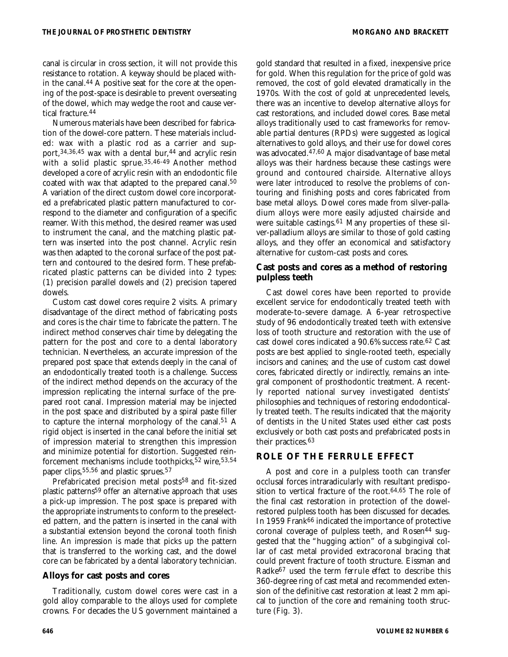canal is circular in cross section, it will not provide this resistance to rotation. A keyway should be placed within the canal.44 A positive seat for the core at the opening of the post-space is desirable to prevent overseating of the dowel, which may wedge the root and cause vertical fracture.44

Numerous materials have been described for fabrication of the dowel-core pattern. These materials included: wax with a plastic rod as a carrier and support, 34, 36, 45 wax with a dental bur, 44 and acrylic resin with a solid plastic sprue.35,46-49 Another method developed a core of acrylic resin with an endodontic file coated with wax that adapted to the prepared canal.50 A variation of the direct custom dowel core incorporated a prefabricated plastic pattern manufactured to correspond to the diameter and configuration of a specific reamer. With this method, the desired reamer was used to instrument the canal, and the matching plastic pattern was inserted into the post channel. Acrylic resin was then adapted to the coronal surface of the post pattern and contoured to the desired form. These prefabricated plastic patterns can be divided into 2 types: (1) precision parallel dowels and (2) precision tapered dowels.

Custom cast dowel cores require 2 visits. A primary disadvantage of the direct method of fabricating posts and cores is the chair time to fabricate the pattern. The indirect method conserves chair time by delegating the pattern for the post and core to a dental laboratory technician. Nevertheless, an accurate impression of the prepared post space that extends deeply in the canal of an endodontically treated tooth is a challenge. Success of the indirect method depends on the accuracy of the impression replicating the internal surface of the prepared root canal. Impression material may be injected in the post space and distributed by a spiral paste filler to capture the internal morphology of the canal.51 A rigid object is inserted in the canal before the initial set of impression material to strengthen this impression and minimize potential for distortion. Suggested reinforcement mechanisms include toothpicks,52 wire,53,54 paper clips,55,56 and plastic sprues.57

Prefabricated precision metal posts<sup>58</sup> and fit-sized plastic patterns59 offer an alternative approach that uses a pick-up impression. The post space is prepared with the appropriate instruments to conform to the preselected pattern, and the pattern is inserted in the canal with a substantial extension beyond the coronal tooth finish line. An impression is made that picks up the pattern that is transferred to the working cast, and the dowel core can be fabricated by a dental laboratory technician.

#### **Alloys for cast posts and cores**

Traditionally, custom dowel cores were cast in a gold alloy comparable to the alloys used for complete crowns. For decades the US government maintained a gold standard that resulted in a fixed, inexpensive price for gold. When this regulation for the price of gold was removed, the cost of gold elevated dramatically in the 1970s. With the cost of gold at unprecedented levels, there was an incentive to develop alternative alloys for cast restorations, and included dowel cores. Base metal alloys traditionally used to cast frameworks for removable partial dentures (RPDs) were suggested as logical alternatives to gold alloys, and their use for dowel cores was advocated.47,60 A major disadvantage of base metal alloys was their hardness because these castings were ground and contoured chairside. Alternative alloys were later introduced to resolve the problems of contouring and finishing posts and cores fabricated from base metal alloys. Dowel cores made from silver-palladium alloys were more easily adjusted chairside and were suitable castings.<sup>61</sup> Many properties of these silver-palladium alloys are similar to those of gold casting alloys, and they offer an economical and satisfactory alternative for custom-cast posts and cores.

## **Cast posts and cores as a method of restoring pulpless teeth**

Cast dowel cores have been reported to provide excellent service for endodontically treated teeth with moderate-to-severe damage. A 6-year retrospective study of 96 endodontically treated teeth with extensive loss of tooth structure and restoration with the use of cast dowel cores indicated a 90.6% success rate.62 Cast posts are best applied to single-rooted teeth, especially incisors and canines; and the use of custom cast dowel cores, fabricated directly or indirectly, remains an integral component of prosthodontic treatment. A recently reported national survey investigated dentists' philosophies and techniques of restoring endodontically treated teeth. The results indicated that the majority of dentists in the United States used either cast posts exclusively or both cast posts and prefabricated posts in their practices.63

## **ROLE OF THE FERRULE EFFECT**

A post and core in a pulpless tooth can transfer occlusal forces intraradicularly with resultant predisposition to vertical fracture of the root.64,65 The role of the final cast restoration in protection of the dowelrestored pulpless tooth has been discussed for decades. In 1959 Frank66 indicated the importance of protective coronal coverage of pulpless teeth, and Rosen<sup>44</sup> suggested that the "hugging action" of a subgingival collar of cast metal provided extracoronal bracing that could prevent fracture of tooth structure. Eissman and Radke67 used the term *ferrule effect* to describe this 360-degree ring of cast metal and recommended extension of the definitive cast restoration at least 2 mm apical to junction of the core and remaining tooth structure (Fig. 3).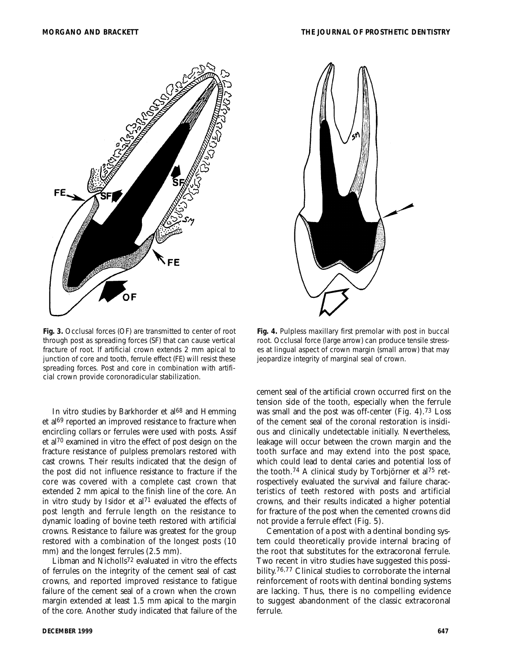

**Fig. 3.** Occlusal forces (*OF*) are transmitted to center of root through post as spreading forces (*SF*) that can cause vertical fracture of root. If artificial crown extends 2 mm apical to junction of core and tooth, ferrule effect (*FE*) will resist these spreading forces. Post and core in combination with artificial crown provide coronoradicular stabilization.

In vitro studies by Barkhorder et al<sup>68</sup> and Hemming et al<sup>69</sup> reported an improved resistance to fracture when encircling collars or ferrules were used with posts. Assif et al70 examined in vitro the effect of post design on the fracture resistance of pulpless premolars restored with cast crowns. Their results indicated that the design of the post did not influence resistance to fracture if the core was covered with a complete cast crown that extended 2 mm apical to the finish line of the core. An in vitro study by Isidor et al71 evaluated the effects of post length and ferrule length on the resistance to dynamic loading of bovine teeth restored with artificial crowns. Resistance to failure was greatest for the group restored with a combination of the longest posts (10 mm) and the longest ferrules (2.5 mm).

Libman and Nicholls72 evaluated in vitro the effects of ferrules on the integrity of the cement seal of cast crowns, and reported improved resistance to fatigue failure of the cement seal of a crown when the crown margin extended at least 1.5 mm apical to the margin of the core. Another study indicated that failure of the



**Fig. 4.** Pulpless maxillary first premolar with post in buccal root. Occlusal force (*large arrow*) can produce tensile stresses at lingual aspect of crown margin (*small arrow*) that may jeopardize integrity of marginal seal of crown.

cement seal of the artificial crown occurred first on the tension side of the tooth, especially when the ferrule was small and the post was off-center (Fig. 4).73 Loss of the cement seal of the coronal restoration is insidious and clinically undetectable initially. Nevertheless, leakage will occur between the crown margin and the tooth surface and may extend into the post space, which could lead to dental caries and potential loss of the tooth.74 A clinical study by Torbjörner et al75 retrospectively evaluated the survival and failure characteristics of teeth restored with posts and artificial crowns, and their results indicated a higher potential for fracture of the post when the cemented crowns did not provide a ferrule effect (Fig. 5).

Cementation of a post with a dentinal bonding system could theoretically provide internal bracing of the root that substitutes for the extracoronal ferrule. Two recent in vitro studies have suggested this possibility.76,77 Clinical studies to corroborate the internal reinforcement of roots with dentinal bonding systems are lacking. Thus, there is no compelling evidence to suggest abandonment of the classic extracoronal ferrule.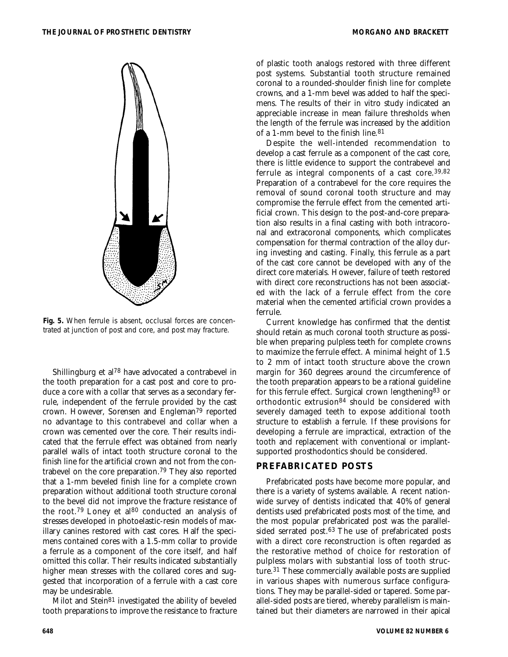

**Fig. 5.** When ferrule is absent, occlusal forces are concentrated at junction of post and core, and post may fracture.

Shillingburg et al78 have advocated a contrabevel in the tooth preparation for a cast post and core to produce a core with a collar that serves as a secondary ferrule, independent of the ferrule provided by the cast crown. However, Sorensen and Engleman79 reported no advantage to this contrabevel and collar when a crown was cemented over the core. Their results indicated that the ferrule effect was obtained from nearly parallel walls of intact tooth structure coronal to the finish line for the artificial crown and not from the contrabevel on the core preparation.79 They also reported that a 1-mm beveled finish line for a complete crown preparation without additional tooth structure coronal to the bevel did not improve the fracture resistance of the root.<sup>79</sup> Loney et al<sup>80</sup> conducted an analysis of stresses developed in photoelastic-resin models of maxillary canines restored with cast cores. Half the specimens contained cores with a 1.5-mm collar to provide a ferrule as a component of the core itself, and half omitted this collar. Their results indicated substantially higher mean stresses with the collared cores and suggested that incorporation of a ferrule with a cast core may be undesirable.

Milot and Stein81 investigated the ability of beveled tooth preparations to improve the resistance to fracture

of plastic tooth analogs restored with three different post systems. Substantial tooth structure remained coronal to a rounded-shoulder finish line for complete crowns, and a 1-mm bevel was added to half the specimens. The results of their in vitro study indicated an appreciable increase in mean failure thresholds when the length of the ferrule was increased by the addition of a 1-mm bevel to the finish line.81

Despite the well-intended recommendation to develop a cast ferrule as a component of the cast core, there is little evidence to support the contrabevel and ferrule as integral components of a cast core.39,82 Preparation of a contrabevel for the core requires the removal of sound coronal tooth structure and may compromise the ferrule effect from the cemented artificial crown. This design to the post-and-core preparation also results in a final casting with both intracoronal and extracoronal components, which complicates compensation for thermal contraction of the alloy during investing and casting. Finally, this ferrule as a part of the cast core cannot be developed with any of the direct core materials. However, failure of teeth restored with direct core reconstructions has not been associated with the lack of a ferrule effect from the core material when the cemented artificial crown provides a ferrule.

Current knowledge has confirmed that the dentist should retain as much coronal tooth structure as possible when preparing pulpless teeth for complete crowns to maximize the ferrule effect. A minimal height of 1.5 to 2 mm of intact tooth structure above the crown margin for 360 degrees around the circumference of the tooth preparation appears to be a rational guideline for this ferrule effect. Surgical crown lengthening83 or orthodontic extrusion84 should be considered with severely damaged teeth to expose additional tooth structure to establish a ferrule. If these provisions for developing a ferrule are impractical, extraction of the tooth and replacement with conventional or implantsupported prosthodontics should be considered.

#### **PREFABRICATED POSTS**

Prefabricated posts have become more popular, and there is a variety of systems available. A recent nationwide survey of dentists indicated that 40% of general dentists used prefabricated posts most of the time, and the most popular prefabricated post was the parallelsided serrated post.63 The use of prefabricated posts with a direct core reconstruction is often regarded as the restorative method of choice for restoration of pulpless molars with substantial loss of tooth structure.31 These commercially available posts are supplied in various shapes with numerous surface configurations. They may be parallel-sided or tapered. Some parallel-sided posts are tiered, whereby parallelism is maintained but their diameters are narrowed in their apical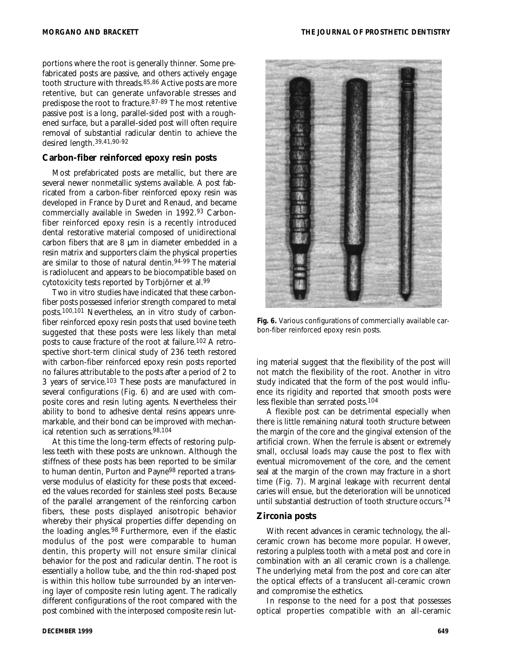portions where the root is generally thinner. Some prefabricated posts are passive, and others actively engage tooth structure with threads.85,86 Active posts are more retentive, but can generate unfavorable stresses and predispose the root to fracture.87-89 The most retentive passive post is a long, parallel-sided post with a roughened surface, but a parallel-sided post will often require removal of substantial radicular dentin to achieve the desired length.39,41,90-92

#### **Carbon-fiber reinforced epoxy resin posts**

Most prefabricated posts are metallic, but there are several newer nonmetallic systems available. A post fabricated from a carbon-fiber reinforced epoxy resin was developed in France by Duret and Renaud, and became commercially available in Sweden in 1992.93 Carbonfiber reinforced epoxy resin is a recently introduced dental restorative material composed of unidirectional carbon fibers that are 8 µm in diameter embedded in a resin matrix and supporters claim the physical properties are similar to those of natural dentin.94-99 The material is radiolucent and appears to be biocompatible based on cytotoxicity tests reported by Torbjörner et al.99

Two in vitro studies have indicated that these carbonfiber posts possessed inferior strength compared to metal posts.100,101 Nevertheless, an in vitro study of carbonfiber reinforced epoxy resin posts that used bovine teeth suggested that these posts were less likely than metal posts to cause fracture of the root at failure.102 A retrospective short-term clinical study of 236 teeth restored with carbon-fiber reinforced epoxy resin posts reported no failures attributable to the posts after a period of 2 to 3 years of service.103 These posts are manufactured in several configurations (Fig. 6) and are used with composite cores and resin luting agents. Nevertheless their ability to bond to adhesive dental resins appears unremarkable, and their bond can be improved with mechanical retention such as serrations.98,104

At this time the long-term effects of restoring pulpless teeth with these posts are unknown. Although the stiffness of these posts has been reported to be similar to human dentin, Purton and Payne98 reported a transverse modulus of elasticity for these posts that exceeded the values recorded for stainless steel posts. Because of the parallel arrangement of the reinforcing carbon fibers, these posts displayed anisotropic behavior whereby their physical properties differ depending on the loading angles.98 Furthermore, even if the elastic modulus of the post were comparable to human dentin, this property will not ensure similar clinical behavior for the post and radicular dentin. The root is essentially a hollow tube, and the thin rod-shaped post is within this hollow tube surrounded by an intervening layer of composite resin luting agent. The radically different configurations of the root compared with the post combined with the interposed composite resin lut-



**Fig. 6.** Various configurations of commercially available carbon-fiber reinforced epoxy resin posts.

ing material suggest that the flexibility of the post will not match the flexibility of the root. Another in vitro study indicated that the form of the post would influence its rigidity and reported that smooth posts were less flexible than serrated posts.104

A flexible post can be detrimental especially when there is little remaining natural tooth structure between the margin of the core and the gingival extension of the artificial crown. When the ferrule is absent or extremely small, occlusal loads may cause the post to flex with eventual micromovement of the core, and the cement seal at the margin of the crown may fracture in a short time (Fig. 7). Marginal leakage with recurrent dental caries will ensue, but the deterioration will be unnoticed until substantial destruction of tooth structure occurs.74

#### **Zirconia posts**

With recent advances in ceramic technology, the allceramic crown has become more popular. However, restoring a pulpless tooth with a metal post and core in combination with an all ceramic crown is a challenge. The underlying metal from the post and core can alter the optical effects of a translucent all-ceramic crown and compromise the esthetics.

In response to the need for a post that possesses optical properties compatible with an all-ceramic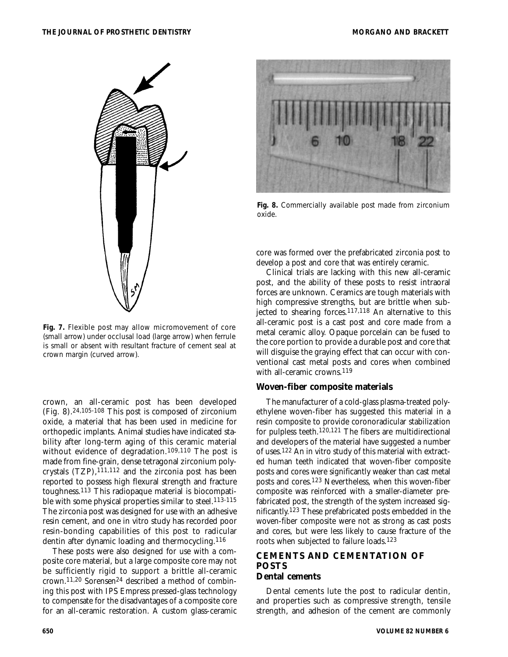

**Fig. 7.** Flexible post may allow micromovement of core (*small arrow*) under occlusal load (*large arrow*) when ferrule is small or absent with resultant fracture of cement seal at crown margin (*curved arrow*).

crown, an all-ceramic post has been developed (Fig. 8).24,105-108 This post is composed of zirconium oxide, a material that has been used in medicine for orthopedic implants. Animal studies have indicated stability after long-term aging of this ceramic material without evidence of degradation.109,110 The post is made from fine-grain, dense tetragonal zirconium polycrystals (TZP),111,112 and the zirconia post has been reported to possess high flexural strength and fracture toughness.113 This radiopaque material is biocompatible with some physical properties similar to steel.<sup>113-115</sup> The zirconia post was designed for use with an adhesive resin cement, and one in vitro study has recorded poor resin-bonding capabilities of this post to radicular dentin after dynamic loading and thermocycling.116

These posts were also designed for use with a composite core material, but a large composite core may not be sufficiently rigid to support a brittle all-ceramic crown.11,20 Sorensen24 described a method of combining this post with IPS Empress pressed-glass technology to compensate for the disadvantages of a composite core for an all-ceramic restoration. A custom glass-ceramic



**Fig. 8.** Commercially available post made from zirconium oxide.

core was formed over the prefabricated zirconia post to develop a post and core that was entirely ceramic.

Clinical trials are lacking with this new all-ceramic post, and the ability of these posts to resist intraoral forces are unknown. Ceramics are tough materials with high compressive strengths, but are brittle when subjected to shearing forces.117,118 An alternative to this all-ceramic post is a cast post and core made from a metal ceramic alloy. Opaque porcelain can be fused to the core portion to provide a durable post and core that will disguise the graying effect that can occur with conventional cast metal posts and cores when combined with all-ceramic crowns.<sup>119</sup>

#### **Woven-fiber composite materials**

The manufacturer of a cold-glass plasma-treated polyethylene woven-fiber has suggested this material in a resin composite to provide coronoradicular stabilization for pulpless teeth.120,121 The fibers are multidirectional and developers of the material have suggested a number of uses.122 An in vitro study of this material with extracted human teeth indicated that woven-fiber composite posts and cores were significantly weaker than cast metal posts and cores.123 Nevertheless, when this woven-fiber composite was reinforced with a smaller-diameter prefabricated post, the strength of the system increased significantly.123 These prefabricated posts embedded in the woven-fiber composite were not as strong as cast posts and cores, but were less likely to cause fracture of the roots when subjected to failure loads.123

# **CEMENTS AND CEMENTATION OF POSTS**

## **Dental cements**

Dental cements lute the post to radicular dentin, and properties such as compressive strength, tensile strength, and adhesion of the cement are commonly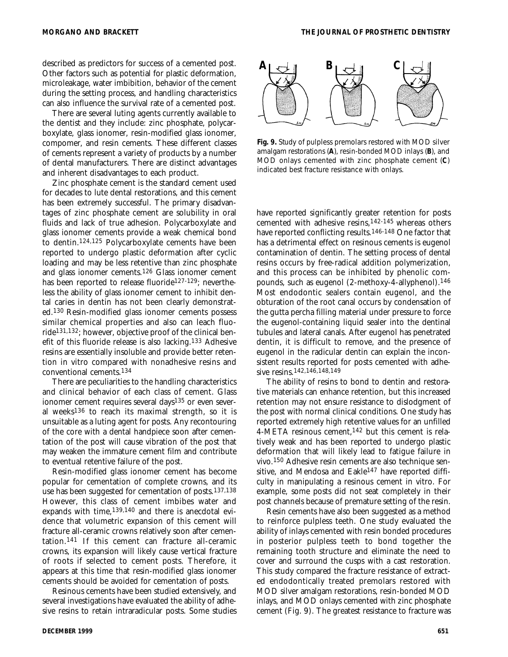described as predictors for success of a cemented post. Other factors such as potential for plastic deformation, microleakage, water imbibition, behavior of the cement during the setting process, and handling characteristics can also influence the survival rate of a cemented post.

There are several luting agents currently available to the dentist and they include: zinc phosphate, polycarboxylate, glass ionomer, resin-modified glass ionomer, compomer, and resin cements. These different classes of cements represent a variety of products by a number of dental manufacturers. There are distinct advantages and inherent disadvantages to each product.

Zinc phosphate cement is the standard cement used for decades to lute dental restorations, and this cement has been extremely successful. The primary disadvantages of zinc phosphate cement are solubility in oral fluids and lack of true adhesion. Polycarboxylate and glass ionomer cements provide a weak chemical bond to dentin.124,125 Polycarboxylate cements have been reported to undergo plastic deformation after cyclic loading and may be less retentive than zinc phosphate and glass ionomer cements.126 Glass ionomer cement has been reported to release fluoride<sup>127-129</sup>; nevertheless the ability of glass ionomer cement to inhibit dental caries in dentin has not been clearly demonstrated.130 Resin-modified glass ionomer cements possess similar chemical properties and also can leach fluoride131,132; however, objective proof of the clinical benefit of this fluoride release is also lacking.133 Adhesive resins are essentially insoluble and provide better retention in vitro compared with nonadhesive resins and conventional cements.134

There are peculiarities to the handling characteristics and clinical behavior of each class of cement. Glass ionomer cement requires several days<sup>135</sup> or even several weeks136 to reach its maximal strength, so it is unsuitable as a luting agent for posts. Any recontouring of the core with a dental handpiece soon after cementation of the post will cause vibration of the post that may weaken the immature cement film and contribute to eventual retentive failure of the post.

Resin-modified glass ionomer cement has become popular for cementation of complete crowns, and its use has been suggested for cementation of posts.137,138 However, this class of cement imbibes water and expands with time,<sup>139,140</sup> and there is anecdotal evidence that volumetric expansion of this cement will fracture all-ceramic crowns relatively soon after cementation.141 If this cement can fracture all-ceramic crowns, its expansion will likely cause vertical fracture of roots if selected to cement posts. Therefore, it appears at this time that resin-modified glass ionomer cements should be avoided for cementation of posts.

Resinous cements have been studied extensively, and several investigations have evaluated the ability of adhesive resins to retain intraradicular posts. Some studies



**Fig. 9.** Study of pulpless premolars restored with MOD silver amalgam restorations (**A**), resin-bonded MOD inlays (**B**), and MOD onlays cemented with zinc phosphate cement (**C**) indicated best fracture resistance with onlays.

have reported significantly greater retention for posts cemented with adhesive resins,142-145 whereas others have reported conflicting results.146-148 One factor that has a detrimental effect on resinous cements is eugenol contamination of dentin. The setting process of dental resins occurs by free-radical addition polymerization, and this process can be inhibited by phenolic compounds, such as eugenol (2-methoxy-4-allyphenol).146 Most endodontic sealers contain eugenol, and the obturation of the root canal occurs by condensation of the gutta percha filling material under pressure to force the eugenol-containing liquid sealer into the dentinal tubules and lateral canals. After eugenol has penetrated dentin, it is difficult to remove, and the presence of eugenol in the radicular dentin can explain the inconsistent results reported for posts cemented with adhesive resins.142,146,148,149

The ability of resins to bond to dentin and restorative materials can enhance retention, but this increased retention may not ensure resistance to dislodgment of the post with normal clinical conditions. One study has reported extremely high retentive values for an unfilled 4-META resinous cement,142 but this cement is relatively weak and has been reported to undergo plastic deformation that will likely lead to fatigue failure in vivo.150 Adhesive resin cements are also technique sensitive, and Mendosa and Eakle<sup>147</sup> have reported difficulty in manipulating a resinous cement in vitro. For example, some posts did not seat completely in their post channels because of premature setting of the resin.

Resin cements have also been suggested as a method to reinforce pulpless teeth. One study evaluated the ability of inlays cemented with resin bonded procedures in posterior pulpless teeth to bond together the remaining tooth structure and eliminate the need to cover and surround the cusps with a cast restoration. This study compared the fracture resistance of extracted endodontically treated premolars restored with MOD silver amalgam restorations, resin-bonded MOD inlays, and MOD onlays cemented with zinc phosphate cement (Fig. 9). The greatest resistance to fracture was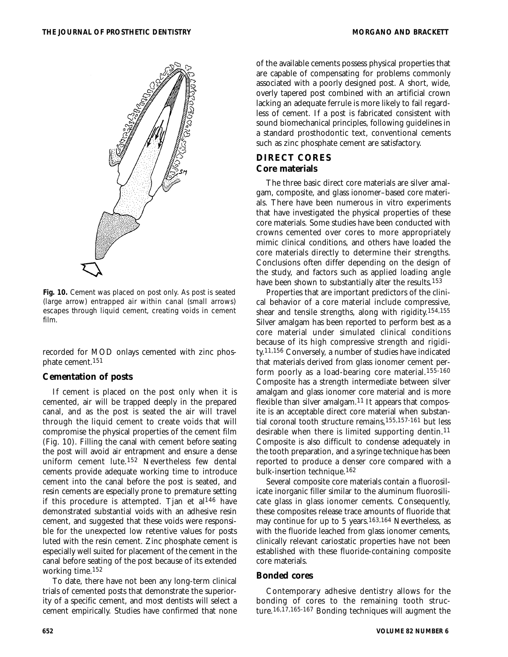



recorded for MOD onlays cemented with zinc phosphate cement.151

#### **Cementation of posts**

If cement is placed on the post only when it is cemented, air will be trapped deeply in the prepared canal, and as the post is seated the air will travel through the liquid cement to create voids that will compromise the physical properties of the cement film (Fig. 10). Filling the canal with cement before seating the post will avoid air entrapment and ensure a dense uniform cement lute.152 Nevertheless few dental cements provide adequate working time to introduce cement into the canal before the post is seated, and resin cements are especially prone to premature setting if this procedure is attempted. Tjan et al146 have demonstrated substantial voids with an adhesive resin cement, and suggested that these voids were responsible for the unexpected low retentive values for posts luted with the resin cement. Zinc phosphate cement is especially well suited for placement of the cement in the canal before seating of the post because of its extended working time.152

To date, there have not been any long-term clinical trials of cemented posts that demonstrate the superiority of a specific cement, and most dentists will select a cement empirically. Studies have confirmed that none

of the available cements possess physical properties that are capable of compensating for problems commonly associated with a poorly designed post. A short, wide, overly tapered post combined with an artificial crown lacking an adequate ferrule is more likely to fail regardless of cement. If a post is fabricated consistent with sound biomechanical principles, following guidelines in a standard prosthodontic text, conventional cements such as zinc phosphate cement are satisfactory.

## **DIRECT CORES Core materials**

The three basic direct core materials are silver amalgam, composite, and glass ionomer–based core materials. There have been numerous in vitro experiments that have investigated the physical properties of these core materials. Some studies have been conducted with crowns cemented over cores to more appropriately mimic clinical conditions, and others have loaded the core materials directly to determine their strengths. Conclusions often differ depending on the design of the study, and factors such as applied loading angle have been shown to substantially alter the results.153

Properties that are important predictors of the clinical behavior of a core material include compressive, shear and tensile strengths, along with rigidity.154,155 Silver amalgam has been reported to perform best as a core material under simulated clinical conditions because of its high compressive strength and rigidity.11,156 Conversely, a number of studies have indicated that materials derived from glass ionomer cement perform poorly as a load-bearing core material.155-160 Composite has a strength intermediate between silver amalgam and glass ionomer core material and is more flexible than silver amalgam.<sup>11</sup> It appears that composite is an acceptable direct core material when substantial coronal tooth structure remains,155,157-161 but less desirable when there is limited supporting dentin.11 Composite is also difficult to condense adequately in the tooth preparation, and a syringe technique has been reported to produce a denser core compared with a bulk-insertion technique.162

Several composite core materials contain a fluorosilicate inorganic filler similar to the aluminum fluorosilicate glass in glass ionomer cements. Consequently, these composites release trace amounts of fluoride that may continue for up to 5 years.163,164 Nevertheless, as with the fluoride leached from glass ionomer cements, clinically relevant cariostatic properties have not been established with these fluoride-containing composite core materials.

### **Bonded cores**

Contemporary adhesive dentistry allows for the bonding of cores to the remaining tooth structure.16,17,165-167 Bonding techniques will augment the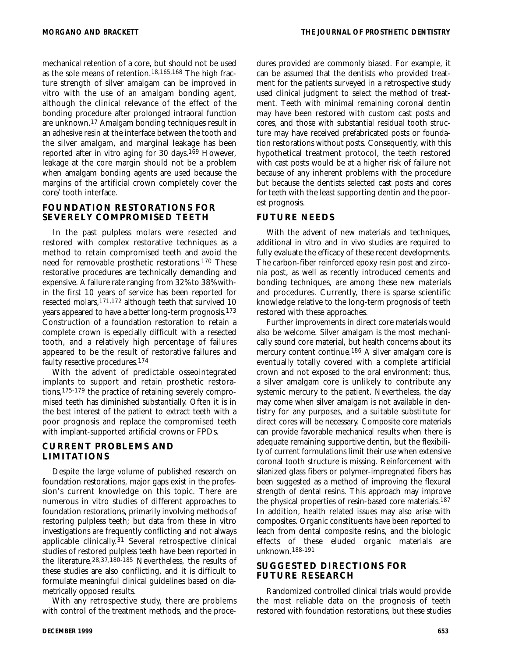mechanical retention of a core, but should not be used as the sole means of retention.18,165,168 The high fracture strength of silver amalgam can be improved in vitro with the use of an amalgam bonding agent, although the clinical relevance of the effect of the bonding procedure after prolonged intraoral function are unknown.17 Amalgam bonding techniques result in an adhesive resin at the interface between the tooth and the silver amalgam, and marginal leakage has been reported after in vitro aging for 30 days.169 However, leakage at the core margin should not be a problem when amalgam bonding agents are used because the margins of the artificial crown completely cover the core/tooth interface.

### **FOUNDATION RESTORATIONS FOR SEVERELY COMPROMISED TEETH**

In the past pulpless molars were resected and restored with complex restorative techniques as a method to retain compromised teeth and avoid the need for removable prosthetic restorations.170 These restorative procedures are technically demanding and expensive. A failure rate ranging from 32% to 38% within the first 10 years of service has been reported for resected molars,171,172 although teeth that survived 10 years appeared to have a better long-term prognosis.173 Construction of a foundation restoration to retain a complete crown is especially difficult with a resected tooth, and a relatively high percentage of failures appeared to be the result of restorative failures and faulty resective procedures.174

With the advent of predictable osseointegrated implants to support and retain prosthetic restorations,175-179 the practice of retaining severely compromised teeth has diminished substantially. Often it is in the best interest of the patient to extract teeth with a poor prognosis and replace the compromised teeth with implant-supported artificial crowns or FPDs.

## **CURRENT PROBLEMS AND LIMITATIONS**

Despite the large volume of published research on foundation restorations, major gaps exist in the profession's current knowledge on this topic. There are numerous in vitro studies of different approaches to foundation restorations, primarily involving methods of restoring pulpless teeth; but data from these in vitro investigations are frequently conflicting and not always applicable clinically.31 Several retrospective clinical studies of restored pulpless teeth have been reported in the literature.28,37,180-185 Nevertheless, the results of these studies are also conflicting, and it is difficult to formulate meaningful clinical guidelines based on diametrically opposed results.

With any retrospective study, there are problems with control of the treatment methods, and the proce-

dures provided are commonly biased. For example, it can be assumed that the dentists who provided treatment for the patients surveyed in a retrospective study used clinical judgment to select the method of treatment. Teeth with minimal remaining coronal dentin may have been restored with custom cast posts and cores, and those with substantial residual tooth structure may have received prefabricated posts or foundation restorations without posts. Consequently, with this hypothetical treatment protocol, the teeth restored with cast posts would be at a higher risk of failure not because of any inherent problems with the procedure but because the dentists selected cast posts and cores for teeth with the least supporting dentin and the poorest prognosis.

### **FUTURE NEEDS**

With the advent of new materials and techniques, additional in vitro and in vivo studies are required to fully evaluate the efficacy of these recent developments. The carbon-fiber reinforced epoxy resin post and zirconia post, as well as recently introduced cements and bonding techniques, are among these new materials and procedures. Currently, there is sparse scientific knowledge relative to the long-term prognosis of teeth restored with these approaches.

Further improvements in direct core materials would also be welcome. Silver amalgam is the most mechanically sound core material, but health concerns about its mercury content continue.186 A silver amalgam core is eventually totally covered with a complete artificial crown and not exposed to the oral environment; thus, a silver amalgam core is unlikely to contribute any systemic mercury to the patient. Nevertheless, the day may come when silver amalgam is not available in dentistry for any purposes, and a suitable substitute for direct cores will be necessary. Composite core materials can provide favorable mechanical results when there is adequate remaining supportive dentin, but the flexibility of current formulations limit their use when extensive coronal tooth structure is missing. Reinforcement with silanized glass fibers or polymer-impregnated fibers has been suggested as a method of improving the flexural strength of dental resins. This approach may improve the physical properties of resin-based core materials.187 In addition, health related issues may also arise with composites. Organic constituents have been reported to leach from dental composite resins, and the biologic effects of these eluded organic materials are unknown.188-191

## **SUGGESTED DIRECTIONS FOR FUTURE RESEARCH**

Randomized controlled clinical trials would provide the most reliable data on the prognosis of teeth restored with foundation restorations, but these studies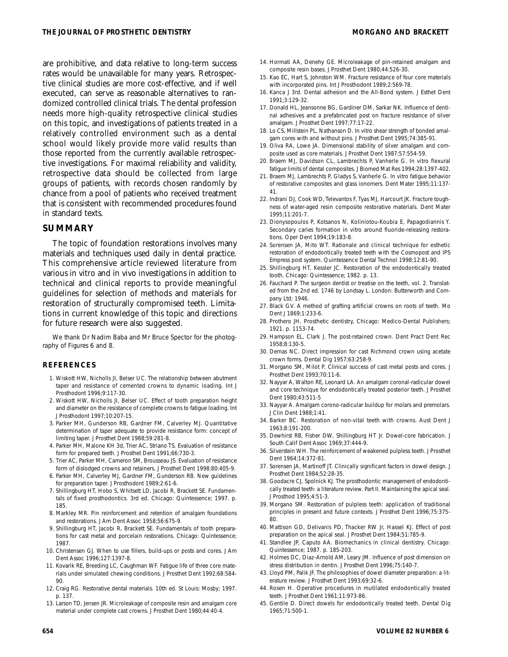are prohibitive, and data relative to long-term success rates would be unavailable for many years. Retrospective clinical studies are more cost-effective, and if well executed, can serve as reasonable alternatives to randomized controlled clinical trials. The dental profession needs more high-quality retrospective clinical studies on this topic, and investigations of patients treated in a relatively controlled environment such as a dental school would likely provide more valid results than those reported from the currently available retrospective investigations. For maximal reliability and validity, retrospective data should be collected from large groups of patients, with records chosen randomly by chance from a pool of patients who received treatment that is consistent with recommended procedures found

#### **SUMMARY**

in standard texts.

The topic of foundation restorations involves many materials and techniques used daily in dental practice. This comprehensive article reviewed literature from various in vitro and in vivo investigations in addition to technical and clinical reports to provide meaningful guidelines for selection of methods and materials for restoration of structurally compromised teeth. Limitations in current knowledge of this topic and directions for future research were also suggested.

We thank Dr Nadim Baba and Mr Bruce Spector for the photography of Figures 6 and 8.

#### **REFERENCES**

- 1. Wiskott HW, Nicholls JI, Belser UC. The relationship between abutment taper and resistance of cemented crowns to dynamic loading. Int J Prosthodont 1996;9:117-30.
- 2. Wiskott HW, Nicholls JI, Belser UC. Effect of tooth preparation height and diameter on the resistance of complete crowns to fatigue loading. Int J Prosthodont 1997;10:207-15.
- 3. Parker MH, Gunderson RB, Gardner FM, Calverley MJ. Quantitative determination of taper adequate to provide resistance form: concept of limiting taper. J Prosthet Dent 1988;59:281-8.
- 4. Parker MH, Malone KH 3d, Trier AC, Striano TS. Evaluation of resistance form for prepared teeth. J Prosthet Dent 1991;66:730-3.
- 5. Trier AC, Parker MH, Cameron SM, Brousseau JS. Evaluation of resistance form of dislodged crowns and retainers. J Prosthet Dent 1998;80:405-9.
- 6. Parker MH, Calverley MJ, Gardner FM, Gunderson RB. New guidelines for preparation taper. J Prosthodont 1989;2:61-6.
- 7. Shillingburg HT, Hobo S, Whitsett LD, Jacobi R, Brackett SE. Fundamentals of fixed prosthodontics. 3rd ed. Chicago: Quintessence; 1997. p. 185.
- 8. Markley MR. Pin reinforcement and retention of amalgam foundations and restorations. J Am Dent Assoc 1958;56:675-9.
- 9. Shillingburg HT, Jacobi R, Brackett SE. Fundamentals of tooth preparations for cast metal and porcelain restorations. Chicago: Quintessence; 1987.
- 10. Christensen GJ. When to use fillers, build-ups or posts and cores. J Am Dent Assoc 1996;127:1397-8.
- 11. Kovarik RE, Breeding LC, Caughman WF. Fatigue life of three core materials under simulated chewing conditions. J Prosthet Dent 1992;68:584- 90.
- 12. Craig RG. Restorative dental materials. 10th ed. St Louis: Mosby; 1997. p. 137.
- 13. Larson TD, Jensen JR. Microleakage of composite resin and amalgam core material under complete cast crowns. J Prosthet Dent 1980;44:40-4.
- 14. Hormati AA, Denehy GE. Microleakage of pin-retained amalgam and composite resin bases. J Prosthet Dent 1980;44:526-30.
- 15. Kao EC, Hart S, Johnston WM. Fracture resistance of four core materials with incorporated pins. Int J Prosthodont 1989;2:569-78.
- 16. Kanca J 3rd. Dental adhesion and the All-Bond system. J Esthet Dent 1991;3:129-32.
- 17. Donald HL, Jeansonne BG, Gardiner DM, Sarkar NK. Influence of dentinal adhesives and a prefabricated post on fracture resistance of silver amalgam. J Prosthet Dent 1997;77:17-22.
- 18. Lo CS, Millstein PL, Nathanson D. In vitro shear strength of bonded amalgam cores with and without pins. J Prosthet Dent 1995;74:385-91.
- 19. Oliva RA, Lowe JA. Dimensional stability of silver amalgam and composite used as core materials. J Prosthet Dent 1987;57:554-59.
- 20. Braem MJ, Davidson CL, Lambrechts P, Vanherle G. In vitro flexural fatigue limits of dental composites. J Biomed Mat Res 1994;28:1397-402.
- 21. Braem MJ, Lambrechts P, Gladys S, Vanherle G. In vitro fatigue behavior of restorative composites and glass ionomers. Dent Mater 1995;11:137- 41.
- 22. Indrani DJ, Cook WD, Televantos F, Tyas MJ, Harcourt JK. Fracture toughness of water-aged resin composite restorative materials. Dent Mater 1995;11:201-7.
- 23. Dionysopoulos P, Kotsanos N, Koliniotou-Koubia E, Papagodiannis Y. Secondary caries formation in vitro around fluoride-releasing restorations. Oper Dent 1994;19:183-8.
- 24. Sorensen JA, Mito WT. Rationale and clinical technique for esthetic restoration of endodontically treated teeth with the Cosmopost and IPS Empress post system. Quintessence Dental Technol 1998;12:81-90.
- 25. Shillingburg HT, Kessler JC. Restoration of the endodontically treated tooth. Chicago: Quintessence; 1982. p. 13.
- 26. Fauchard P. The surgeon dentist or treatise on the teeth, vol. 2. Translated from the 2nd ed. 1746 by Londsay L. London: Butterworth and Company Ltd; 1946.
- 27. Black GV. A method of grafting artificial crowns on roots of teeth. Mo Dent J 1869;1:233-6.
- 28. Prothero JH. Prosthetic dentistry, Chicago: Medico-Dental Publishers; 1921. p. 1153-74.
- 29. Hampson EL, Clark J. The post-retained crown. Dent Pract Dent Rec 1958;8:130-5.
- 30. Demas NC. Direct impression for cast Richmond crown using acetate crown forms. Dental Dig 1957;63:258-9.
- 31. Morgano SM, Milot P. Clinical success of cast metal posts and cores. J Prosthet Dent 1993;70:11-6.
- 32. Nayyar A, Walton RE, Leonard LA. An amalgam coronal-radicular dowel and core technique for endodontically treated posterior teeth. J Prosthet Dent 1980;43:511-5
- 33. Nayyar A. Amalgam corono-radicular buildup for molars and premolars. J Clin Dent 1988;1:41.
- 34. Barker BC. Restoration of non-vital teeth with crowns. Aust Dent J 1963;8:191-200.
- 35. Dewhirst RB, Fisher DW, Shillingburg HT Jr. Dowel-core fabrication. J South Calif Dent Assoc 1969;37:444-9.
- 36. Silverstein WH. The reinforcement of weakened pulpless teeth. J Prosthet Dent 1964;14:372-81.
- 37. Sorensen JA, Martinoff JT. Clinically significant factors in dowel design. J Prosthet Dent 1984;52:28-35.
- 38. Goodacre CJ, Spolnick KJ. The prosthodontic management of endodontically treated teeth: a literature review. Part II. Maintaining the apical seal. J Prosthod 1995;4:51-3.
- 39. Morgano SM. Restoration of pulpless teeth: application of traditional principles in present and future contexts. J Prosthet Dent 1996;75:375- 80.
- 40. Mattison GD, Delivanis PD, Thacker RW Jr, Hassel KJ. Effect of post preparation on the apical seal. J Prosthet Dent 1984;51:785-9.
- 41. Standlee JP, Caputo AA. Biomechanics in clinical dentistry. Chicago: Quintessence; 1987. p. 185-203.
- 42. Holmes DC, Diaz-Arnold AM, Leary JM. Influence of post dimension on stress distribution in dentin. J Prosthet Dent 1996;75:140-7.
- 43. Lloyd PM, Palik JF. The philosophies of dowel diameter preparation: a literature review. J Prosthet Dent 1993;69:32-6.
- 44. Rosen H. Operative procedures in mutilated endodontically treated teeth. J Prosthet Dent 1961;11:973-86.
- 45. Gentile D. Direct dowels for endodontically treated teeth. Dental Dig 1965;71:500-1.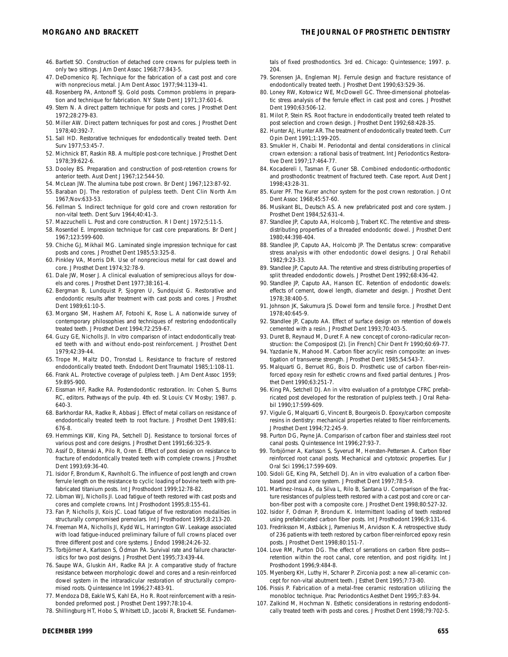- 46. Bartlett SO. Construction of detached core crowns for pulpless teeth in only two sittings. J Am Dent Assoc 1968;77:843-5.
- 47. DeDomenico RJ. Technique for the fabrication of a cast post and core with nonprecious metal. J Am Dent Assoc 1977;94:1139-41.
- 48. Rosenberg PA, Antonoff SJ. Gold posts. Common problems in preparation and technique for fabrication. NY State Dent J 1971;37:601-6.
- 49. Stern N. A direct pattern technique for posts and cores. J Prosthet Dent 1972;28:279-83.
- 50. Miller AW. Direct pattern techniques for post and cores. J Prosthet Dent 1978;40:392-7.
- 51. Sall HD. Restorative techniques for endodontically treated teeth. Dent Surv 1977;53:45-7.
- 52. Michnick BT, Raskin RB. A multiple post-core technique. J Prosthet Dent 1978;39:622-6.
- 53. Dooley BS. Preparation and construction of post-retention crowns for anterior teeth. Aust Dent J 1967;12:544-50.
- 54. McLean JW. The alumina tube post crown. Br Dent J 1967;123:87-92.
- 55. Baraban DJ. The restoration of pulpless teeth. Dent Clin North Am 1967;Nov:633-53.
- 56. Fellman S. Indirect technique for gold core and crown restoration for non-vital teeth. Dent Surv 1964;40:41-3.
- 57. Mazzuchelli L. Post and core construction. R I Dent J 1972;5:11-5.
- 58. Rosentiel E. Impression technique for cast core preparations. Br Dent J 1967;123:599-600.
- 59. Chiche GJ, Mikhail MG. Laminated single impression technique for cast posts and cores. J Prosthet Dent 1985;53:325-8.
- 60. Pinkley VA, Morris DR. Use of nonprecious metal for cast dowel and core. J Prosthet Dent 1974;32:78-9.
- 61. Dale JW, Moser J. A clinical evaluation of semiprecious alloys for dowels and cores. J Prosthet Dent 1977;38:161-4.
- 62. Bergman B, Lundquist P, Sjogren U, Sundquist G. Restorative and endodontic results after treatment with cast posts and cores. J Prosthet Dent 1989;61:10-5.
- 63. Morgano SM, Hashem AF, Fotoohi K, Rose L. A nationwide survey of contemporary philosophies and techniques of restoring endodontically treated teeth. J Prosthet Dent 1994;72:259-67.
- 64. Guzy GE, Nicholls JI. In vitro comparison of intact endodontically treated teeth with and without endo-post reinforcement. J Prosthet Dent 1979;42:39-44.
- 65. Trope M, Maltz DO, Tronstad L. Resistance to fracture of restored endodontically treated teeth. Endodont Dent Traumatol 1985;1:108-11.
- 66. Frank AL. Protective coverage of pulpless teeth. J Am Dent Assoc 1959; 59:895-900.
- 67. Eissman HF, Radke RA. Postendodontic restoration. In: Cohen S, Burns RC, editors. Pathways of the pulp. 4th ed. St Louis: CV Mosby; 1987. p. 640-3.
- 68. Barkhordar RA, Radke R, Abbasi J. Effect of metal collars on resistance of endodontically treated teeth to root fracture. J Prosthet Dent 1989;61: 676-8.
- 69. Hemmings KW, King PA, Setchell DJ. Resistance to torsional forces of various post and core designs. J Prosthet Dent 1991;66:325-9.
- 70. Assif D, Bitenski A, Pilo R, Oren E. Effect of post design on resistance to fracture of endodontically treated teeth with complete crowns. J Prosthet Dent 1993;69:36-40.
- 71. Isidor F, Brondum K, Ravnholt G. The influence of post length and crown ferrule length on the resistance to cyclic loading of bovine teeth with prefabricated titanium posts. Int J Prosthodont 1999;12:78-82.
- 72. Libman WJ, Nicholls JI. Load fatigue of teeth restored with cast posts and cores and complete crowns. Int J Prosthodont 1995;8:155-61.
- 73. Fan P, Nicholls JI, Kois JC. Load fatigue of five restoration modalities in structurally compromised premolars. Int J Prosthodont 1995;8:213-20.
- 74. Freeman MA, Nicholls JI, Kydd WL, Harrington GW. Leakage associated with load fatigue-induced preliminary failure of full crowns placed over three different post and core systems. J Endod 1998;24:26-32.
- 75. Torbjörner A, Karlsson S, Ödman PA. Survival rate and failure characteristics for two post designs. J Prosthet Dent 1995;73:439-44.
- 76. Saupe WA, Gluskin AH, Radke RA Jr. A comparative study of fracture resistance between morphologic dowel and cores and a resin-reinforced dowel system in the intraradicular restoration of structurally compromised roots. Quintessence Int 1996;27:483-91.
- 77. Mendoza DB, Eakle WS, Kahl EA, Ho R. Root reinforcement with a resinbonded preformed post. J Prosthet Dent 1997;78:10-4.
- 78. Shillingburg HT, Hobo S, Whitsett LD, Jacobi R, Brackett SE. Fundamen-

tals of fixed prosthodontics. 3rd ed. Chicago: Quintessence; 1997. p. 204.

- 79. Sorensen JA, Engleman MJ. Ferrule design and fracture resistance of endodontically treated teeth. J Prosthet Dent 1990;63:529-36.
- 80. Loney RW, Kotowicz WE, McDowell GC. Three-dimensional photoelastic stress analysis of the ferrule effect in cast post and cores. J Prosthet Dent 1990;63:506-12.
- 81. Milot P, Stein RS. Root fracture in endodontically treated teeth related to post selection and crown design. J Prosthet Dent 1992;68:428-35.
- 82. Hunter AJ, Hunter AR. The treatment of endodontically treated teeth. Curr Opin Dent 1991;1:199-205.
- 83. Smukler H, Chaibi M. Periodontal and dental considerations in clinical crown extension: a rational basis of treatment. Int J Periodontics Restorative Dent 1997;17:464-77.
- 84. Kocadereli I, Tasman F, Guner SB. Combined endodontic-orthodontic and prosthodontic treatment of fractured teeth. Case report. Aust Dent J 1998;43:28-31.
- 85. Kurer PF. The Kurer anchor system for the post crown restoration. J Ont Dent Assoc 1968;45:57-60.
- 86. Musikant BL, Deutsch AS. A new prefabricated post and core system. J Prosthet Dent 1984;52:631-4.
- 87. Standlee JP, Caputo AA, Holcomb J, Trabert KC. The retentive and stressdistributing properties of a threaded endodontic dowel. J Prosthet Dent 1980;44:398-404.
- 88. Standlee JP, Caputo AA, Holcomb JP. The Dentatus screw: comparative stress analysis with other endodontic dowel designs. J Oral Rehabil 1982;9:23-33.
- 89. Standlee JP, Caputo AA. The retentive and stress distributing properties of split threaded endodontic dowels. J Prosthet Dent 1992;68:436-42.
- 90. Standlee JP, Caputo AA, Hanson EC. Retention of endodontic dowels: effects of cement, dowel length, diameter and design. J Prosthet Dent 1978;38:400-5.
- 91. Johnson JK, Sakumura JS. Dowel form and tensile force. J Prosthet Dent 1978;40:645-9.
- 92. Standlee JP, Caputo AA. Effect of surface design on retention of dowels cemented with a resin. J Prosthet Dent 1993;70:403-5.
- 93. Duret B, Reynaud M, Duret F. A new concept of corono-radicular reconstruction: the Composipost (2). [in French] Chir Dent Fr 1990;60:69-77.
- 94. Yazdanie N, Mahood M. Carbon fiber acrylic resin composite: an investigation of transverse strength. J Prosthet Dent 1985;54:543-7.
- 95. Malquarti G, Berruet RG, Bois D. Prosthetic use of carbon fiber-reinforced epoxy resin for esthetic crowns and fixed partial dentures. J Prosthet Dent 1990;63:251-7.
- 96. King PA, Setchell DJ. An in vitro evaluation of a prototype CFRC prefabricated post developed for the restoration of pulpless teeth. J Oral Rehabil 1990;17:599-609.
- 97. Vigule G, Malquarti G, Vincent B, Bourgeois D. Epoxy/carbon composite resins in dentistry: mechanical properties related to fiber reinforcements. J Prosthet Dent 1994;72:245-9.
- 98. Purton DG, Payne JA. Comparison of carbon fiber and stainless steel root canal posts. Quintessence Int 1996;27:93-7.
- 99. Torbjörner A, Karlsson S, Syverud M, Hensten-Pettersen A. Carbon fiber reinforced root canal posts. Mechanical and cytotoxic properties. Eur J Oral Sci 1996;17:599-609.
- 100. Sidoli GE, King PA, Setchell DJ. An in vitro evaluation of a carbon fiberbased post and core system. J Prosthet Dent 1997;78:5-9.
- 101. Martinez-Insua A, da Silva L, Rilo B, Santana U. Comparison of the fracture resistances of pulpless teeth restored with a cast post and core or carbon-fiber post with a composite core. J Prosthet Dent 1998;80:527-32.
- 102. Isidor F, Odman P, Brondum K. Intermittent loading of teeth restored using prefabricated carbon fiber posts. Int J Prosthodont 1996;9:131-6.
- 103. Fredriksson M, Astbäck J, Pamenius M, Arvidson K. A retrospective study of 236 patients with teeth restored by carbon fiber-reinforced epoxy resin posts. J Prosthet Dent 1998;80:151-7.
- 104. Love RM, Purton DG. The effect of serrations on carbon fibre posts retention within the root canal, core retention, and post rigidity. Int J Prosthodont 1996;9:484-8.
- 105. Myenberg KH, Luthy H, Scharer P. Zirconia post: a new all-ceramic concept for non-vital abutment teeth. J Esthet Dent 1995;7:73-80.
- 106. Pissis P. Fabrication of a metal-free ceramic restoration utilizing the monobloc technique. Prac Periodontics Aesthet Dent 1995;7:83-94.
- 107. Zalkind M, Hochman N. Esthetic considerations in restoring endodontically treated teeth with posts and cores. J Prosthet Dent 1998;79:702-5.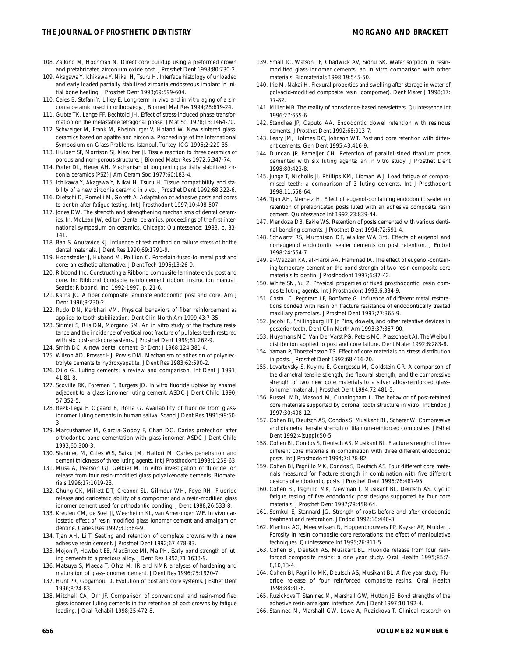- 
- 108. Zalkind M, Hochman N. Direct core buildup using a preformed crown and prefabricated zirconium oxide post. J Prosthet Dent 1998;80:730-2.
- 109. Akagawa Y, Ichikawa Y, Nikai H, Tsuru H. Interface histology of unloaded and early loaded partially stabilized zirconia endosseous implant in initial bone healing. J Prosthet Dent 1993;69:599-604.
- 110. Cales B, Stefani Y, Lilley E. Long-term in vivo and in vitro aging of a zirconia ceramic used in orthopaedy. J Biomed Mat Res 1994;28:619-24.
- 111. Gubta TK, Lange FF, Bechtold JH. Effect of stress-induced phase transformation on the metastable tetragonal phase. J Mat Sci 1978;13:1464-70.
- 112. Schweiger M, Frank M, Rheinburger V, Holand W. New sintered glassceramics based on apatite and zirconia. Proceedings of the International Symposium on Glass Problems. Istanbul, Turkey. ICG 1996;2:229-35.
- 113. Hulbert SF, Morrison SJ, Klawitter JJ. Tissue reaction to three ceramics of porous and non-porous structure. J Biomed Mater Res 1972;6:347-74.
- 114. Porter DL, Heuer AH. Mechanism of toughening partially stabilized zirconia ceramics (PSZ) J Am Ceram Soc 1977;60:183-4.
- 115. Ichikawa Y, Akagawa Y, Nikai H, Tsuru H. Tissue compatibility and stability of a new zirconia ceramic in vivo. J Prosthet Dent 1992;68:322-6.
- 116. Dietschi D, Romelli M, Goretti A. Adaptation of adhesive posts and cores to dentin after fatigue testing. Int J Prosthodont 1997;10:498-507.
- 117. Jones DW. The strength and strengthening mechanisms of dental ceramics. In: McLean JW, editor. Dental ceramics: proceedings of the first international symposium on ceramics. Chicago: Quintessence; 1983. p. 83- 141.
- 118. Ban S, Anusavice KJ. Influence of test method on failure stress of brittle dental materials. J Dent Res 1990;69:1791-9.
- 119. Hochstedler J, Huband M, Poillion C. Porcelain-fused-to-metal post and core: an esthetic alternative. J Dent Tech 1996;13:26-9.
- 120. Ribbond Inc. Constructing a Ribbond composite-laminate endo post and core. In: Ribbond bondable reinforcement ribbon: instruction manual. Seattle: Ribbond, Inc; 1992-1997. p. 21-6.
- 121. Karna JC. A fiber composite laminate endodontic post and core. Am J Dent 1996;9:230-2.
- 122. Rudo DN, Karbhari VM. Physical behaviors of fiber reinforcement as applied to tooth stabilization. Dent Clin North Am 1999;43:7-35.
- 123. Sirimai S, Riis DN, Morgano SM. An in vitro study of the fracture resistance and the incidence of vertical root fracture of pulpless teeth restored with six post-and-core systems. J Prosthet Dent 1999;81:262-9.
- 124. Smith DC. A new dental cement. Br Dent J 1968;124:381-4.
- 125. Wilson AD, Prosser HJ, Powis DM. Mechanism of adhesion of polyelectrolyte cements to hydroxyapatite. J Dent Res 1983;62:590-2.
- 126. Oilo G. Luting cements: a review and comparison. Int Dent J 1991; 41:81-8.
- 127. Scoville RK, Foreman F, Burgess JO. In vitro fluoride uptake by enamel adjacent to a glass ionomer luting cement. ASDC J Dent Child 1990; 57:352-5.
- 128. Rezk-Lega F, Ogaard B, Rolla G. Availability of fluoride from glassionomer luting cements in human saliva. Scand J Dent Res 1991;99:60- 3.
- 129. Marcushamer M, Garcia-Godoy F, Chan DC. Caries protection after orthodontic band cementation with glass ionomer. ASDC J Dent Child 1993;60:300-3.
- 130. Staninec M, Giles WS, Saiku JM, Hattori M. Caries penetration and cement thickness of three luting agents. Int J Prosthodont 1998;1:259-63.
- 131. Musa A, Pearson GJ, Gelbier M. In vitro investigation of fluoride ion release from four resin-modified glass polyalkenoate cements. Biomaterials 1996;17:1019-23.
- 132. Chung CK, Millett DT, Creanor SL, Gilmour WH, Foye RH. Fluoride release and cariostatic ability of a compomer and a resin-modified glass ionomer cement used for orthodontic bonding. J Dent 1988;26:533-8.
- 133. Kreulen CM, de Soet JJ, Weerheijm KL, van Amerongen WE. In vivo cariostatic effect of resin modified glass ionomer cement and amalgam on dentine. Caries Res 1997;31:384-9.
- 134. Tjan AH, Li T. Seating and retention of complete crowns with a new adhesive resin cement. J Prosthet Dent 1992;67:478-83.
- 135. Mojon P, Hawbolt EB, MacEntee MI, Ma PH. Early bond strength of luting cements to a precious alloy. J Dent Res 1992;71:1633-9.
- 136. Matsuya S, Maeda T, Ohta M. IR and NMR analyses of hardening and maturation of glass-ionomer cement. J Dent Res 1996;75:1920-7.
- 137. Hunt PR, Gogarnoiu D. Evolution of post and core systems. J Esthet Dent 1996;8:74-83.
- 138. Mitchell CA, Orr JF. Comparison of conventional and resin-modified glass-ionomer luting cements in the retention of post-crowns by fatigue loading. J Oral Rehabil 1998;25:472-8.
- 139. Small IC, Watson TF, Chadwick AV, Sidhu SK. Water sorption in resinmodified glass-ionomer cements: an in vitro comparison with other materials. Biomaterials 1998;19:545-50.
- 140. Irie M, Nakai H. Flexural properties and swelling after storage in water of polyacid-modified composite resin (compomer). Dent Mater J 1998;17: 77-82.
- 141. Miller MB. The reality of nonscience-based newsletters. Quintessence Int 1996;27:655-6.
- 142. Standlee JP, Caputo AA. Endodontic dowel retention with resinous cements. J Prosthet Dent 1992;68:913-7.
- 143. Leary JM, Holmes DC, Johnson WT. Post and core retention with different cements. Gen Dent 1995;43:416-9.
- 144. Duncan JP, Pameijer CH. Retention of parallel-sided titanium posts cemented with six luting agents: an in vitro study. J Prosthet Dent 1998;80:423-8.
- 145. Junge T, Nicholls JI, Phillips KM, Libman WJ. Load fatigue of compromised teeth: a comparison of 3 luting cements. Int J Prosthodont 1998;11:558-64.
- 146. Tjan AH, Nemetz H. Effect of eugenol-containing endodontic sealer on retention of prefabricated posts luted with an adhesive composite resin cement. Quintessence Int 1992;23:839-44.
- 147. Mendoza DB, Eakle WS. Retention of posts cemented with various dentinal bonding cements. J Prosthet Dent 1994;72:591-4.
- 148. Schwartz RS, Murchison DF, Walker WA 3rd. Effects of eugenol and noneugenol endodontic sealer cements on post retention. J Endod 1998;24:564-7.
- 149. al-Wazzan KA, al-Harbi AA, Hammad IA. The effect of eugenol-containing temporary cement on the bond strength of two resin composite core materials to dentin. J Prosthodont 1997;6:37-42.
- 150. White SN, Yu Z. Physical properties of fixed prosthodontic, resin composite luting agents. Int J Prosthodont 1993;6:384-9.
- 151. Costa LC, Pegoraro LF, Bonfante G. Influence of different metal restorations bonded with resin on fracture resistance of endodontically treated maxillary premolars. J Prosthet Dent 1997;77:365-9.
- 152. Jacobi R, Shillingburg HT Jr. Pins, dowels, and other retentive devices in posterior teeth. Dent Clin North Am 1993;37:367-90.
- 153. Huysmans MC, Van Der Varst PG, Peters MC, Plasschaert AJ. The Weibull distribution applied to post and core failure. Dent Mater 1992:8:283-8.
- 154. Yaman P, Thorsteinsson TS. Effect of core materials on stress distribution in posts. J Prosthet Dent 1992;68:416-20.
- 155. Levartovsky S, Kuyinu E, Georgescu M, Goldstein GR. A comparison of the diametral tensile strength, the flexural strength, and the compressive strength of two new core materials to a silver alloy-reinforced glassionomer material. J Prosthet Dent 1994;72:481-5.
- 156. Russell MD, Masood M, Cunningham L. The behavior of post-retained core materials supported by coronal tooth structure in vitro. Int Endod J 1997;30:408-12.
- 157. Cohen BI, Deutsch AS, Condos S, Musikant BL, Scherer W. Compressive and diametral tensile strength of titanium-reinforced composites. J Esthet Dent 1992;4(suppl):50-5.
- 158. Cohen BI, Condos S, Deutsch AS, Musikant BL. Fracture strength of three different core materials in combination with three different endodontic posts. Int J Prosthodont 1994;7:178-82.
- 159. Cohen BI, Pagnillo MK, Condos S, Deutsch AS. Four different core materials measured for fracture strength in combination with five different designs of endodontic posts. J Prosthet Dent 1996;76:487-95.
- 160. Cohen BI, Pagnillo MK, Newman I, Musikant BL, Deutsch AS. Cyclic fatigue testing of five endodontic post designs supported by four core materials. J Prosthet Dent 1997;78:458-64.
- 161. Sornkul E, Stannard JG. Strength of roots before and after endodontic treatment and restoration. J Endod 1992;18:440-3.
- 162. Mentink AG, Meeuwissen R, Hoppenbrouwers PP, Kayser AF, Mulder J. Porosity in resin composite core restorations: the effect of manipulative techniques. Quintessence Int 1995;26:811-5.
- 163. Cohen BI, Deutsch AS, Musikant BL. Fluoride release from four reinforced composite resins: a one year study. Oral Health 1995;85:7- 8,10,13-4.
- 164. Cohen BI, Pagnillo MK, Deutsch AS, Musikant BL. A five year study. Fluoride release of four reinforced composite resins. Oral Health 1998;88:81-6.
- 165. Ruzickova T, Staninec M, Marshall GW, Hutton JE. Bond strengths of the adhesive resin-amalgam interface. Am J Dent 1997;10:192-4.
- 166. Staninec M, Marshall GW, Lowe A, Ruzickova T. Clinical research on